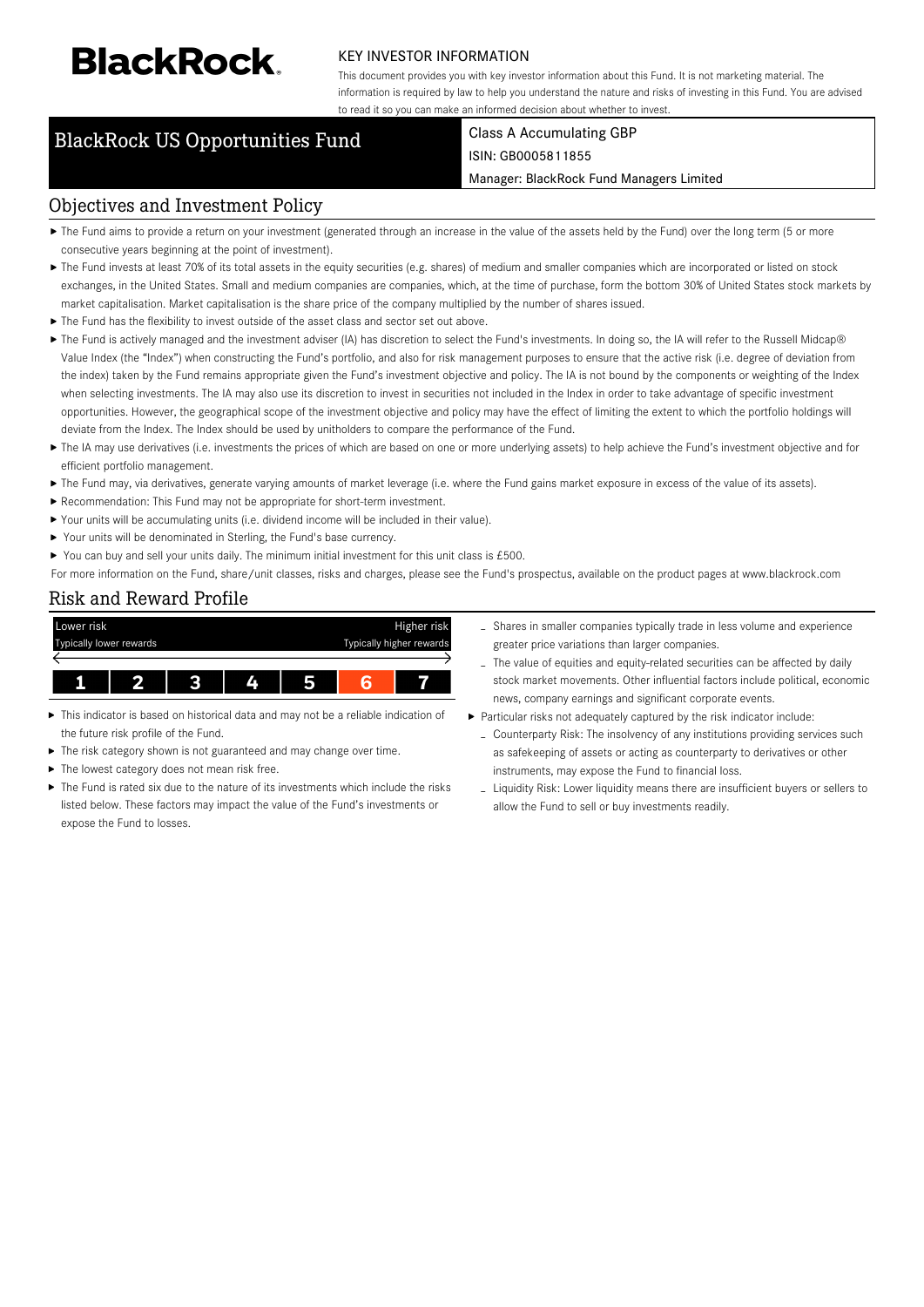# **BlackRock**

#### KEY INVESTOR INFORMATION

This document provides you with key investor information about this Fund. It is not marketing material. The information is required by law to help you understand the nature and risks of investing in this Fund. You are advised to read it so you can make an informed decision about whether to invest.

### BlackRock US Opportunities Fund Class A Accumulating GBP

## ISIN: GB0005811855

Manager: BlackRock Fund Managers Limited

#### Objectives and Investment Policy

- ▶ The Fund aims to provide a return on your investment (generated through an increase in the value of the assets held by the Fund) over the long term (5 or more consecutive years beginning at the point of investment).
- ▶ The Fund invests at least 70% of its total assets in the equity securities (e.g. shares) of medium and smaller companies which are incorporated or listed on stock exchanges, in the United States. Small and medium companies are companies, which, at the time of purchase, form the bottom 30% of United States stock markets by market capitalisation. Market capitalisation is the share price of the company multiplied by the number of shares issued.
- The Fund has the flexibility to invest outside of the asset class and sector set out above.
- ▶ The Fund is actively managed and the investment adviser (IA) has discretion to select the Fund's investments. In doing so, the IA will refer to the Russell Midcap® Value Index (the "Index") when constructing the Fund's portfolio, and also for risk management purposes to ensure that the active risk (i.e. degree of deviation from the index) taken by the Fund remains appropriate given the Fund's investment objective and policy. The IA is not bound by the components or weighting of the Index when selecting investments. The IA may also use its discretion to invest in securities not included in the Index in order to take advantage of specific investment opportunities. However, the geographical scope of the investment objective and policy may have the effect of limiting the extent to which the portfolio holdings will deviate from the Index. The Index should be used by unitholders to compare the performance of the Fund.
- ▶ The IA may use derivatives (i.e. investments the prices of which are based on one or more underlying assets) to help achieve the Fund's investment objective and for efficient portfolio management.
- The Fund may, via derivatives, generate varying amounts of market leverage (i.e. where the Fund gains market exposure in excess of the value of its assets).
- Recommendation: This Fund may not be appropriate for short-term investment.
- Your units will be accumulating units (i.e. dividend income will be included in their value).
- ▶ Your units will be denominated in Sterling, the Fund's base currency.
- ▶ You can buy and sell your units daily. The minimum initial investment for this unit class is £500.
- For more information on the Fund, share/unit classes, risks and charges, please see the Fund's prospectus, available on the product pages at www.blackrock.com

#### Risk and Reward Profile



- This indicator is based on historical data and may not be a reliable indication of the future risk profile of the Fund.
- ь The risk category shown is not guaranteed and may change over time.
- The lowest category does not mean risk free.
- The Fund is rated six due to the nature of its investments which include the risks listed below. These factors may impact the value of the Fund's investments or expose the Fund to losses.
- Shares in smaller companies typically trade in less volume and experience greater price variations than larger companies.
- The value of equities and equity-related securities can be affected by daily stock market movements. Other influential factors include political, economic news, company earnings and significant corporate events.
- Particular risks not adequately captured by the risk indicator include:
	- Counterparty Risk: The insolvency of any institutions providing services such as safekeeping of assets or acting as counterparty to derivatives or other instruments, may expose the Fund to financial loss.
	- Liquidity Risk: Lower liquidity means there are insufficient buyers or sellers to allow the Fund to sell or buy investments readily.